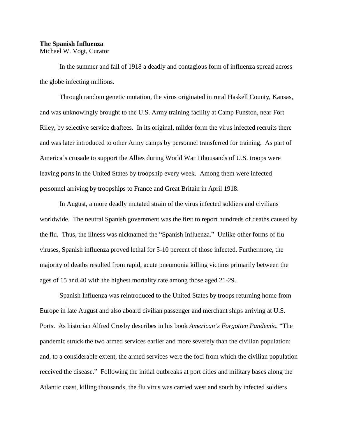## **The Spanish Influenza** Michael W. Vogt, Curator

In the summer and fall of 1918 a deadly and contagious form of influenza spread across the globe infecting millions.

Through random genetic mutation, the virus originated in rural Haskell County, Kansas, and was unknowingly brought to the U.S. Army training facility at Camp Funston, near Fort Riley, by selective service draftees. In its original, milder form the virus infected recruits there and was later introduced to other Army camps by personnel transferred for training. As part of America's crusade to support the Allies during World War I thousands of U.S. troops were leaving ports in the United States by troopship every week. Among them were infected personnel arriving by troopships to France and Great Britain in April 1918.

In August, a more deadly mutated strain of the virus infected soldiers and civilians worldwide. The neutral Spanish government was the first to report hundreds of deaths caused by the flu. Thus, the illness was nicknamed the "Spanish Influenza." Unlike other forms of flu viruses, Spanish influenza proved lethal for 5-10 percent of those infected. Furthermore, the majority of deaths resulted from rapid, acute pneumonia killing victims primarily between the ages of 15 and 40 with the highest mortality rate among those aged 21-29.

Spanish Influenza was reintroduced to the United States by troops returning home from Europe in late August and also aboard civilian passenger and merchant ships arriving at U.S. Ports. As historian Alfred Crosby describes in his book *American's Forgotten Pandemic*, "The pandemic struck the two armed services earlier and more severely than the civilian population: and, to a considerable extent, the armed services were the foci from which the civilian population received the disease." Following the initial outbreaks at port cities and military bases along the Atlantic coast, killing thousands, the flu virus was carried west and south by infected soldiers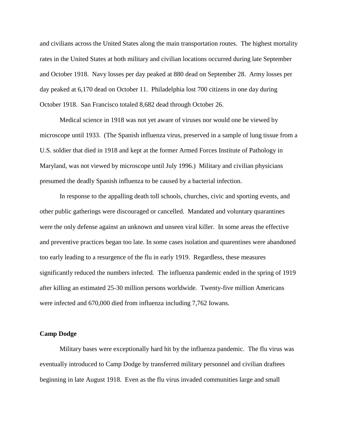and civilians across the United States along the main transportation routes. The highest mortality rates in the United States at both military and civilian locations occurred during late September and October 1918. Navy losses per day peaked at 880 dead on September 28. Army losses per day peaked at 6,170 dead on October 11. Philadelphia lost 700 citizens in one day during October 1918. San Francisco totaled 8,682 dead through October 26.

Medical science in 1918 was not yet aware of viruses nor would one be viewed by microscope until 1933. (The Spanish influenza virus, preserved in a sample of lung tissue from a U.S. soldier that died in 1918 and kept at the former Armed Forces Institute of Pathology in Maryland, was not viewed by microscope until July 1996.) Military and civilian physicians presumed the deadly Spanish influenza to be caused by a bacterial infection.

In response to the appalling death toll schools, churches, civic and sporting events, and other public gatherings were discouraged or cancelled. Mandated and voluntary quarantines were the only defense against an unknown and unseen viral killer. In some areas the effective and preventive practices began too late. In some cases isolation and quarentines were abandoned too early leading to a resurgence of the flu in early 1919. Regardless, these measures significantly reduced the numbers infected. The influenza pandemic ended in the spring of 1919 after killing an estimated 25-30 million persons worldwide. Twenty-five million Americans were infected and 670,000 died from influenza including 7,762 Iowans.

## **Camp Dodge**

Military bases were exceptionally hard hit by the influenza pandemic. The flu virus was eventually introduced to Camp Dodge by transferred military personnel and civilian draftees beginning in late August 1918. Even as the flu virus invaded communities large and small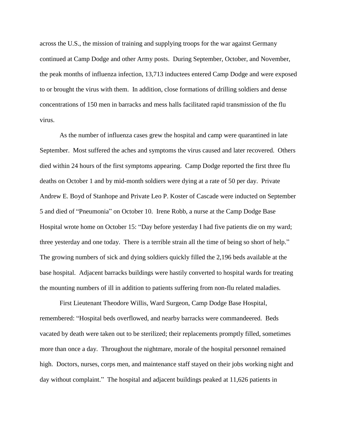across the U.S., the mission of training and supplying troops for the war against Germany continued at Camp Dodge and other Army posts. During September, October, and November, the peak months of influenza infection, 13,713 inductees entered Camp Dodge and were exposed to or brought the virus with them. In addition, close formations of drilling soldiers and dense concentrations of 150 men in barracks and mess halls facilitated rapid transmission of the flu virus.

As the number of influenza cases grew the hospital and camp were quarantined in late September. Most suffered the aches and symptoms the virus caused and later recovered. Others died within 24 hours of the first symptoms appearing. Camp Dodge reported the first three flu deaths on October 1 and by mid-month soldiers were dying at a rate of 50 per day. Private Andrew E. Boyd of Stanhope and Private Leo P. Koster of Cascade were inducted on September 5 and died of "Pneumonia" on October 10. Irene Robb, a nurse at the Camp Dodge Base Hospital wrote home on October 15: "Day before yesterday I had five patients die on my ward; three yesterday and one today. There is a terrible strain all the time of being so short of help." The growing numbers of sick and dying soldiers quickly filled the 2,196 beds available at the base hospital. Adjacent barracks buildings were hastily converted to hospital wards for treating the mounting numbers of ill in addition to patients suffering from non-flu related maladies.

First Lieutenant Theodore Willis, Ward Surgeon, Camp Dodge Base Hospital, remembered: "Hospital beds overflowed, and nearby barracks were commandeered. Beds vacated by death were taken out to be sterilized; their replacements promptly filled, sometimes more than once a day. Throughout the nightmare, morale of the hospital personnel remained high. Doctors, nurses, corps men, and maintenance staff stayed on their jobs working night and day without complaint." The hospital and adjacent buildings peaked at 11,626 patients in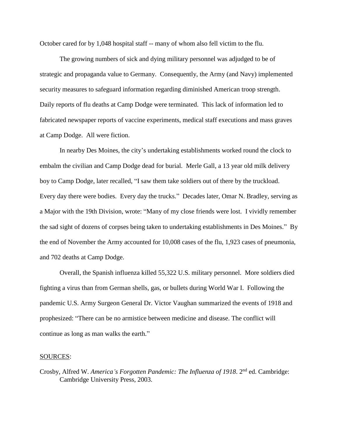October cared for by 1,048 hospital staff -- many of whom also fell victim to the flu.

The growing numbers of sick and dying military personnel was adjudged to be of strategic and propaganda value to Germany. Consequently, the Army (and Navy) implemented security measures to safeguard information regarding diminished American troop strength. Daily reports of flu deaths at Camp Dodge were terminated. This lack of information led to fabricated newspaper reports of vaccine experiments, medical staff executions and mass graves at Camp Dodge. All were fiction.

In nearby Des Moines, the city's undertaking establishments worked round the clock to embalm the civilian and Camp Dodge dead for burial. Merle Gall, a 13 year old milk delivery boy to Camp Dodge, later recalled, "I saw them take soldiers out of there by the truckload. Every day there were bodies. Every day the trucks." Decades later, Omar N. Bradley, serving as a Major with the 19th Division, wrote: "Many of my close friends were lost. I vividly remember the sad sight of dozens of corpses being taken to undertaking establishments in Des Moines." By the end of November the Army accounted for 10,008 cases of the flu, 1,923 cases of pneumonia, and 702 deaths at Camp Dodge.

Overall, the Spanish influenza killed 55,322 U.S. military personnel. More soldiers died fighting a virus than from German shells, gas, or bullets during World War I. Following the pandemic U.S. Army Surgeon General Dr. Victor Vaughan summarized the events of 1918 and prophesized: "There can be no armistice between medicine and disease. The conflict will continue as long as man walks the earth."

## SOURCES:

Crosby, Alfred W. *America's Forgotten Pandemic: The Influenza of 1918*. 2nd ed. Cambridge: Cambridge University Press, 2003.